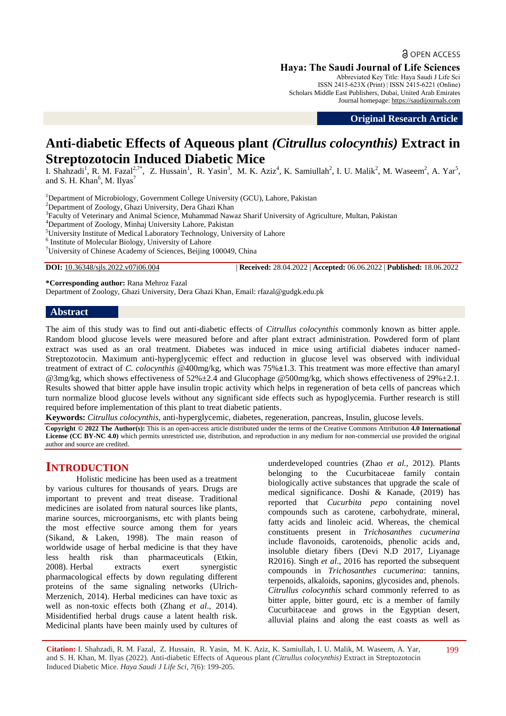**a** OPEN ACCESS

**Haya: The Saudi Journal of Life Sciences**

Abbreviated Key Title: Haya Saudi J Life Sci ISSN 2415-623X (Print) | ISSN 2415-6221 (Online) Scholars Middle East Publishers, Dubai, United Arab Emirates Journal homepage: [https://saudijournals.com](https://saudijournals.com/sjls)

**Original Research Article**

# **Anti-diabetic Effects of Aqueous plant** *(Citrullus colocynthis)* **Extract in Streptozotocin Induced Diabetic Mice**

I. Shahzadi<sup>1</sup>, R. M. Fazal<sup>2,7\*</sup>, Z. Hussain<sup>1</sup>, R. Yasin<sup>3</sup>, M. K. Aziz<sup>4</sup>, K. Samiullah<sup>2</sup>, I. U. Malik<sup>2</sup>, M. Waseem<sup>2</sup>, A. Yar<sup>5</sup>, and S. H. Khan<sup>6</sup>, M. Ilyas<sup>7</sup>

<sup>1</sup>Department of Microbiology, Government College University (GCU), Lahore, Pakistan

<sup>2</sup>Department of Zoology, Ghazi University, Dera Ghazi Khan

<sup>3</sup> Faculty of Veterinary and Animal Science, Muhammad Nawaz Sharif University of Agriculture, Multan, Pakistan

<sup>4</sup>Department of Zoology, Minhaj University Lahore, Pakistan

<sup>5</sup>University Institute of Medical Laboratory Technology, University of Lahore

<sup>6</sup> Institute of Molecular Biology, University of Lahore

<sup>7</sup>University of Chinese Academy of Sciences, Beijing 100049, China

**DOI:** 10.36348/sjls.2022.v07i06.004 | **Received:** 28.04.2022 | **Accepted:** 06.06.2022 | **Published:** 18.06.2022

**\*Corresponding author:** Rana Mehroz Fazal

Department of Zoology, Ghazi University, Dera Ghazi Khan, Email: rfazal@gudgk.edu.pk

## **Abstract**

The aim of this study was to find out anti-diabetic effects of *Citrullus colocynthis* commonly known as bitter apple. Random blood glucose levels were measured before and after plant extract administration. Powdered form of plant extract was used as an oral treatment. Diabetes was induced in mice using artificial diabetes inducer named-Streptozotocin. Maximum anti-hyperglycemic effect and reduction in glucose level was observed with individual treatment of extract of *C. colocynthis* @400mg/kg, which was 75%**±**1.3. This treatment was more effective than amaryl @3mg/kg, which shows effectiveness of 52%±2.4 and Glucophage @500mg/kg, which shows effectiveness of 29%±2.1. Results showed that bitter apple have insulin tropic activity which helps in regeneration of beta cells of pancreas which turn normalize blood glucose levels without any significant side effects such as hypoglycemia. Further research is still required before implementation of this plant to treat diabetic patients.

**Keywords:** *Citrullus colocynthis,* anti-hyperglycemic, diabetes, regeneration, pancreas, Insulin, glucose levels.

**Copyright © 2022 The Author(s):** This is an open-access article distributed under the terms of the Creative Commons Attribution **4.0 International License (CC BY-NC 4.0)** which permits unrestricted use, distribution, and reproduction in any medium for non-commercial use provided the original author and source are credited.

## **INTRODUCTION**

Holistic medicine has been used as a treatment by various cultures for thousands of years. Drugs are important to prevent and treat disease. Traditional medicines are isolated from natural sources like plants, marine sources, microorganisms, etc with plants being the most effective source among them for years (Sikand, & Laken, 1998). The main reason of worldwide usage of herbal medicine is that they have less health risk than pharmaceuticals (Etkin, 2008). Herbal extracts exert synergistic pharmacological effects by down regulating different proteins of the same signaling networks (Ulrich-Merzenich, 2014). Herbal medicines can have toxic as well as non-toxic effects both (Zhang *et al*., 2014). Misidentified herbal drugs cause a latent health risk. Medicinal plants have been mainly used by cultures of underdeveloped countries (Zhao *et al.,* 2012). Plants belonging to the Cucurbitaceae family contain biologically active substances that upgrade the scale of medical significance. Doshi & Kanade, (2019) has reported that *Cucurbita pepo* containing novel compounds such as carotene, carbohydrate, mineral, fatty acids and linoleic acid. Whereas, the chemical constituents present in *Trichosanthes cucumerina*  include flavonoids, carotenoids, phenolic acids and, insoluble dietary fibers (Devi N.D 2017, Liyanage R2016). Singh *et al*., 2016 has reported the subsequent compounds in *Trichosanthes cucumerina*: tannins, terpenoids, alkaloids, saponins, glycosides and, phenols. *Citrullus colocynthis* schard commonly referred to as bitter apple, bitter gourd, etc is a member of family Cucurbitaceae and grows in the Egyptian desert, alluvial plains and along the east coasts as well as

**Citation:** I. Shahzadi, R. M. Fazal, Z. Hussain, R. Yasin, M. K. Aziz, K. Samiullah, I. U. Malik, M. Waseem, A. Yar, and S. H. Khan, M. Ilyas (2022). Anti-diabetic Effects of Aqueous plant *(Citrullus colocynthis)* Extract in Streptozotocin Induced Diabetic Mice. *Haya Saudi J Life Sci, 7*(6): 199-205.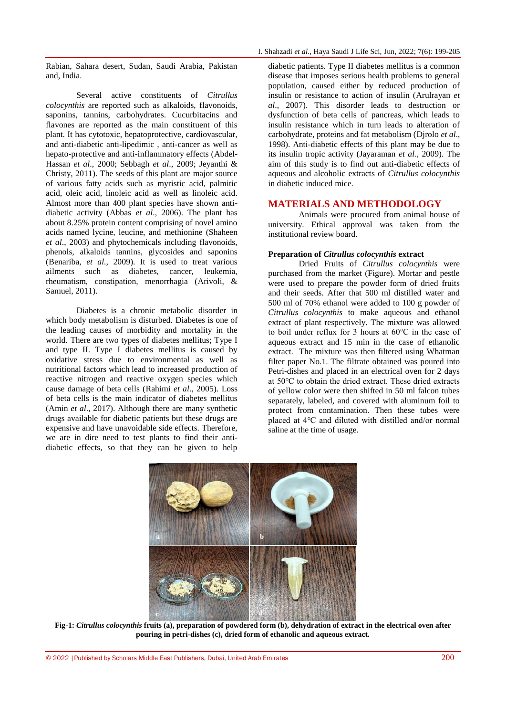Rabian, Sahara desert, Sudan, Saudi Arabia, Pakistan and, India.

Several active constituents of *Citrullus colocynthis* are reported such as alkaloids, flavonoids, saponins, tannins, carbohydrates. Cucurbitacins and flavones are reported as the main constituent of this plant. It has cytotoxic, hepatoprotective, cardiovascular, and anti-diabetic anti-lipedimic , anti-cancer as well as hepato-protective and anti-inflammatory effects (Abdel-Hassan *et al*., 2000; Sebbagh *et al*., 2009; Jeyanthi & Christy, 2011). The seeds of this plant are major source of various fatty acids such as myristic acid, palmitic acid, oleic acid, linoleic acid as well as linoleic acid. Almost more than 400 plant species have shown antidiabetic activity (Abbas *et al*., 2006). The plant has about 8.25% protein content comprising of novel amino acids named lycine, leucine, and methionine (Shaheen *et al*., 2003) and phytochemicals including flavonoids, phenols, alkaloids tannins, glycosides and saponins (Benariba, *et al.,* 2009). It is used to treat various ailments such as diabetes, cancer, leukemia, rheumatism, constipation, menorrhagia (Arivoli, & Samuel, 2011).

Diabetes is a chronic metabolic disorder in which body metabolism is disturbed. Diabetes is one of the leading causes of morbidity and mortality in the world. There are two types of diabetes mellitus; Type I and type II. Type I diabetes mellitus is caused by oxidative stress due to environmental as well as nutritional factors which lead to increased production of reactive nitrogen and reactive oxygen species which cause damage of beta cells (Rahimi *et al*., 2005). Loss of beta cells is the main indicator of diabetes mellitus (Amin *et al*., 2017). Although there are many synthetic drugs available for diabetic patients but these drugs are expensive and have unavoidable side effects. Therefore, we are in dire need to test plants to find their antidiabetic effects, so that they can be given to help

diabetic patients. Type II diabetes mellitus is a common disease that imposes serious health problems to general population, caused either by reduced production of insulin or resistance to action of insulin (Arulrayan *et al*., 2007). This disorder leads to destruction or dysfunction of beta cells of pancreas, which leads to insulin resistance which in turn leads to alteration of carbohydrate, proteins and fat metabolism (Djrolo *et al*., 1998). Anti-diabetic effects of this plant may be due to its insulin tropic activity (Jayaraman *et al.*, 2009). The aim of this study is to find out anti-diabetic effects of aqueous and alcoholic extracts of *Citrullus colocynthis* in diabetic induced mice.

## **MATERIALS AND METHODOLOGY**

Animals were procured from animal house of university. Ethical approval was taken from the institutional review board.

#### **Preparation of** *Citrullus colocynthis* **extract**

Dried Fruits of *Citrullus colocynthis* were purchased from the market (Figure). Mortar and pestle were used to prepare the powder form of dried fruits and their seeds. After that 500 ml distilled water and 500 ml of 70% ethanol were added to 100 g powder of *Citrullus colocynthis* to make aqueous and ethanol extract of plant respectively. The mixture was allowed to boil under reflux for 3 hours at 60℃ in the case of aqueous extract and 15 min in the case of ethanolic extract. The mixture was then filtered using Whatman filter paper No.1. The filtrate obtained was poured into Petri-dishes and placed in an electrical oven for 2 days at 50℃ to obtain the dried extract. These dried extracts of yellow color were then shifted in 50 ml falcon tubes separately, labeled, and covered with aluminum foil to protect from contamination. Then these tubes were placed at 4℃ and diluted with distilled and/or normal saline at the time of usage.



**Fig-1:** *Citrullus colocynthis* **fruits (a), preparation of powdered form (b), dehydration of extract in the electrical oven after pouring in petri-dishes (c), dried form of ethanolic and aqueous extract.**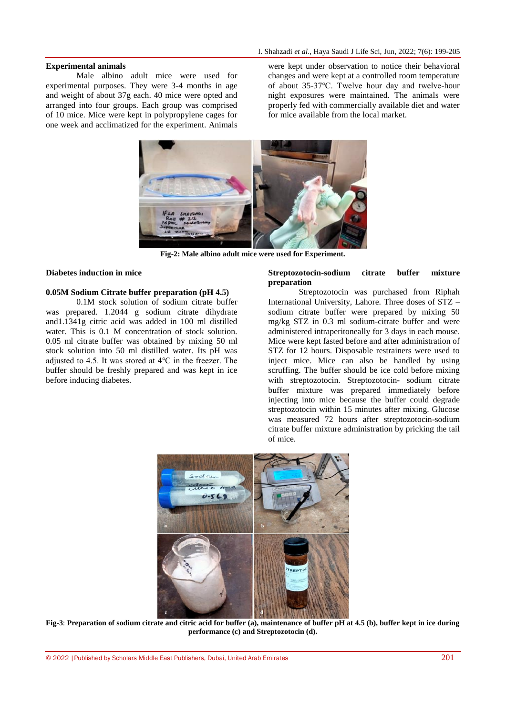#### **Experimental animals**

Male albino adult mice were used for experimental purposes. They were 3-4 months in age and weight of about 37g each. 40 mice were opted and arranged into four groups. Each group was comprised of 10 mice. Mice were kept in polypropylene cages for one week and acclimatized for the experiment. Animals were kept under observation to notice their behavioral changes and were kept at a controlled room temperature of about 35-37℃. Twelve hour day and twelve-hour night exposures were maintained. The animals were properly fed with commercially available diet and water for mice available from the local market.



**Fig-2: Male albino adult mice were used for Experiment.**

#### **Diabetes induction in mice**

#### **0.05M Sodium Citrate buffer preparation (pH 4.5)**

0.1M stock solution of sodium citrate buffer was prepared. 1.2044 g sodium citrate dihydrate and1.1341g citric acid was added in 100 ml distilled water. This is 0.1 M concentration of stock solution. 0.05 ml citrate buffer was obtained by mixing 50 ml stock solution into 50 ml distilled water. Its pH was adjusted to 4.5. It was stored at 4℃ in the freezer. The buffer should be freshly prepared and was kept in ice before inducing diabetes.

#### **Streptozotocin-sodium citrate buffer mixture preparation**

Streptozotocin was purchased from Riphah International University, Lahore. Three doses of STZ – sodium citrate buffer were prepared by mixing 50 mg/kg STZ in 0.3 ml sodium-citrate buffer and were administered intraperitoneally for 3 days in each mouse. Mice were kept fasted before and after administration of STZ for 12 hours. Disposable restrainers were used to inject mice. Mice can also be handled by using scruffing. The buffer should be ice cold before mixing with streptozotocin. Streptozotocin- sodium citrate buffer mixture was prepared immediately before injecting into mice because the buffer could degrade streptozotocin within 15 minutes after mixing. Glucose was measured 72 hours after streptozotocin-sodium citrate buffer mixture administration by pricking the tail of mice.



**Fig-3**: **Preparation of sodium citrate and citric acid for buffer (a), maintenance of buffer pH at 4.5 (b), buffer kept in ice during performance (c) and Streptozotocin (d).**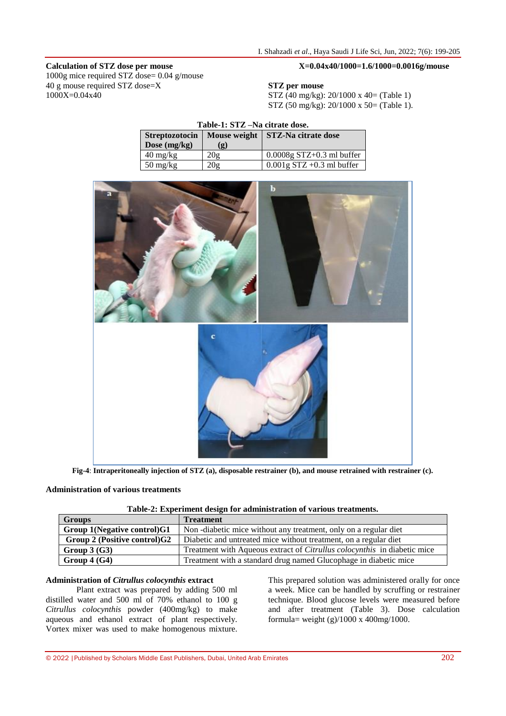#### **Calculation of STZ dose per mouse**

1000g mice required STZ dose= 0.04 g/mouse 40 g mouse required STZ dose=X 1000X=0.04x40

## **X=0.04x40/1000=1.6/1000=0.0016g/mouse**

#### **STZ per mouse**

STZ (40 mg/kg): 20/1000 x 40= (Table 1) STZ (50 mg/kg): 20/1000 x 50= (Table 1).

| Table-1: STZ-Na citrate dose.    |     |                                    |  |  |  |  |  |  |
|----------------------------------|-----|------------------------------------|--|--|--|--|--|--|
| <b>Streptozotocin</b>            |     | Mouse weight   STZ-Na citrate dose |  |  |  |  |  |  |
| Dose $(mg/kg)$                   | (g) |                                    |  |  |  |  |  |  |
| $40 \frac{\text{mg}}{\text{kg}}$ | 20g | $0.0008g$ STZ+0.3 ml buffer        |  |  |  |  |  |  |
| $50 \frac{\text{mg}}{\text{kg}}$ | 20σ | $0.001$ g STZ +0.3 ml buffer       |  |  |  |  |  |  |
|                                  |     |                                    |  |  |  |  |  |  |



**Fig-4**: **Intraperitoneally injection of STZ (a), disposable restrainer (b), and mouse retrained with restrainer (c).**

#### **Administration of various treatments**

|  |  |  | Table-2: Experiment design for administration of various treatments. |  |  |
|--|--|--|----------------------------------------------------------------------|--|--|
|  |  |  |                                                                      |  |  |

| <b>Groups</b>                   | <b>Treatment</b>                                                                |
|---------------------------------|---------------------------------------------------------------------------------|
| Group 1(Negative control)G1     | Non-diabetic mice without any treatment, only on a regular diet                 |
| Group 2 (Positive control) $G2$ | Diabetic and untreated mice without treatment, on a regular diet                |
| Group $3(G3)$                   | Treatment with Aqueous extract of <i>Citrullus colocynthis</i> in diabetic mice |
| Group $4(G4)$                   | Treatment with a standard drug named Glucophage in diabetic mice                |

## **Administration of** *Citrullus colocynthis* **extract**

Plant extract was prepared by adding 500 ml distilled water and 500 ml of 70% ethanol to 100 g *Citrullus colocynthis* powder (400mg/kg) to make aqueous and ethanol extract of plant respectively. Vortex mixer was used to make homogenous mixture.

This prepared solution was administered orally for once a week. Mice can be handled by scruffing or restrainer technique. Blood glucose levels were measured before and after treatment (Table 3). Dose calculation formula= weight (g)/1000 x 400mg/1000.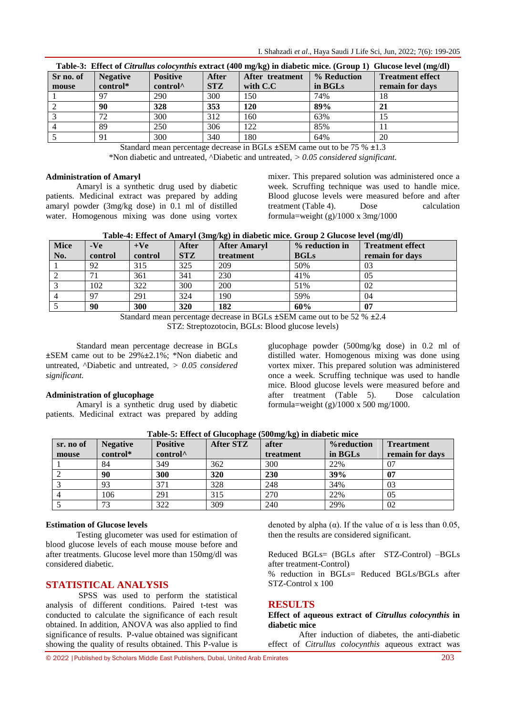|  | I. Shahzadi et al., Haya Saudi J Life Sci, Jun, 2022; 7(6): 199-205 |  |  |  |  |  |  |  |  |
|--|---------------------------------------------------------------------|--|--|--|--|--|--|--|--|
|--|---------------------------------------------------------------------|--|--|--|--|--|--|--|--|

| Table-3: Effect of Citrullus colocynthis extract (400 mg/kg) in diabetic mice. (Group 1) Glucose level (mg/dl) |                 |                      |              |                 |             |                         |  |  |  |  |
|----------------------------------------------------------------------------------------------------------------|-----------------|----------------------|--------------|-----------------|-------------|-------------------------|--|--|--|--|
| Sr no. of                                                                                                      | <b>Negative</b> | <b>Positive</b>      | <b>After</b> | After treatment | % Reduction | <b>Treatment effect</b> |  |  |  |  |
| mouse                                                                                                          | control*        | control <sup>^</sup> | <b>STZ</b>   | with $C.C$      | in BGLs     | remain for days         |  |  |  |  |
|                                                                                                                | 97              | 290                  | 300          | 150             | 74%         | 18                      |  |  |  |  |
|                                                                                                                | 90              | 328                  | 353          | <b>120</b>      | 89%         | 21                      |  |  |  |  |
|                                                                                                                | 72              | 300                  | 312          | 160             | 63%         |                         |  |  |  |  |
|                                                                                                                | 89              | 250                  | 306          | 122             | 85%         |                         |  |  |  |  |
|                                                                                                                | 91              | 300                  | 340          | 180             | 64%         | 20                      |  |  |  |  |

Standard mean percentage decrease in BGLs **±**SEM came out to be 75 % **±**1.3

\*Non diabetic and untreated, ^Diabetic and untreated, *> 0.05 considered significant.*

#### **Administration of Amaryl**

Amaryl is a synthetic drug used by diabetic patients. Medicinal extract was prepared by adding amaryl powder (3mg/kg dose) in 0.1 ml of distilled water. Homogenous mixing was done using vortex mixer. This prepared solution was administered once a week. Scruffing technique was used to handle mice. Blood glucose levels were measured before and after treatment (Table 4). Dose calculation formula=weight  $(g)/1000 \times 3$ mg/1000

|  |  |  |  |  | Table-4: Effect of Amaryl (3mg/kg) in diabetic mice. Group 2 Glucose level (mg/dl) |  |
|--|--|--|--|--|------------------------------------------------------------------------------------|--|
|--|--|--|--|--|------------------------------------------------------------------------------------|--|

| <b>Mice</b>    | $-Ve$   | $+Ve$   | After      | $\sigma$ $\sigma$<br><b>After Amaryl</b> | % reduction in | $\Box$<br><b>Treatment effect</b> |
|----------------|---------|---------|------------|------------------------------------------|----------------|-----------------------------------|
| No.            | control | control | <b>STZ</b> | treatment                                | <b>BGLs</b>    | remain for days                   |
|                | 92      | 315     | 325        | 209                                      | 50%            | 03                                |
| 2              |         | 361     | 341        | 230                                      | 41%            | 05                                |
| 3              | 102     | 322     | 300        | 200                                      | 51%            | 02                                |
| $\overline{4}$ | 97      | 291     | 324        | 190                                      | 59%            | 04                                |
|                | 90      | 300     | 320        | 182                                      | 60%            | 07                                |

Standard mean percentage decrease in BGLs **±**SEM came out to be 52 % **±**2.4

STZ: Streptozotocin, BGLs: Blood glucose levels)

Standard mean percentage decrease in BGLs **±**SEM came out to be 29%**±**2.1%; \*Non diabetic and untreated, ^Diabetic and untreated, *> 0.05 considered significant.* 

## **Administration of glucophage**

Amaryl is a synthetic drug used by diabetic patients. Medicinal extract was prepared by adding glucophage powder (500mg/kg dose) in 0.2 ml of distilled water. Homogenous mixing was done using vortex mixer. This prepared solution was administered once a week. Scruffing technique was used to handle mice. Blood glucose levels were measured before and after treatment (Table 5). Dose calculation formula=weight (g)/1000 x 500 mg/1000.

| sr. no of<br>mouse | <b>Negative</b><br>control* | <b>Positive</b><br>control <sup>^</sup> | After STZ | after<br>treatment | %reduction<br>in BGLs | <b>Treartment</b><br>remain for days |
|--------------------|-----------------------------|-----------------------------------------|-----------|--------------------|-----------------------|--------------------------------------|
|                    | 84                          | 349                                     | 362       | 300                | 22%                   | 07                                   |
|                    | 90                          | 300                                     | 320       | 230                | 39%                   | 07                                   |
|                    | 93                          | 371                                     | 328       | 248                | 34%                   | 03                                   |
|                    | 106                         | 291                                     | 315       | 270                | 22%                   | 05                                   |
|                    | 73                          | 322                                     | 309       | 240                | 29%                   | 02                                   |

**Table-5: Effect of Glucophage (500mg/kg) in diabetic mice**

## **Estimation of Glucose levels**

Testing glucometer was used for estimation of blood glucose levels of each mouse mouse before and after treatments. Glucose level more than 150mg/dl was considered diabetic.

## **STATISTICAL ANALYSIS**

SPSS was used to perform the statistical analysis of different conditions. Paired t-test was conducted to calculate the significance of each result obtained. In addition, ANOVA was also applied to find significance of results. P-value obtained was significant showing the quality of results obtained. This P-value is

denoted by alpha ( $\alpha$ ). If the value of  $\alpha$  is less than 0.05, then the results are considered significant.

Reduced BGLs= (BGLs after STZ-Control) –BGLs after treatment-Control)

% reduction in  $BGLS =$  Reduced BGLs/BGLs after STZ-Control x 100

## **RESULTS**

**Effect of aqueous extract of** *Citrullus colocynthis* **in diabetic mice**

After induction of diabetes, the anti-diabetic effect of *Citrullus colocynthis* aqueous extract was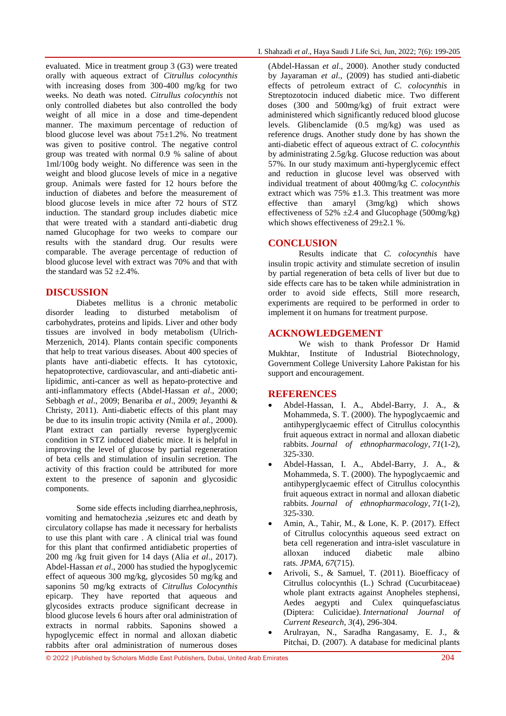evaluated. Mice in treatment group 3 (G3) were treated orally with aqueous extract of *Citrullus colocynthis* with increasing doses from 300-400 mg/kg for two weeks. No death was noted. *Citrullus colocynthis* not only controlled diabetes but also controlled the body weight of all mice in a dose and time-dependent manner. The maximum percentage of reduction of blood glucose level was about 75±1.2%. No treatment was given to positive control. The negative control group was treated with normal 0.9 % saline of about 1ml/100g body weight. No difference was seen in the weight and blood glucose levels of mice in a negative group. Animals were fasted for 12 hours before the induction of diabetes and before the measurement of blood glucose levels in mice after 72 hours of STZ induction. The standard group includes diabetic mice that were treated with a standard anti-diabetic drug named Glucophage for two weeks to compare our results with the standard drug. Our results were comparable. The average percentage of reduction of blood glucose level with extract was 70% and that with the standard was  $52 \pm 2.4\%$ .

## **DISCUSSION**

Diabetes mellitus is a chronic metabolic disorder leading to disturbed metabolism of carbohydrates, proteins and lipids. Liver and other body tissues are involved in body metabolism (Ulrich-Merzenich, 2014). Plants contain specific components that help to treat various diseases. About 400 species of plants have anti-diabetic effects. It has cytotoxic, hepatoprotective, cardiovascular, and anti-diabetic antilipidimic, anti-cancer as well as hepato-protective and anti-inflammatory effects (Abdel-Hassan *et al*., 2000; Sebbagh *et al*., 2009; Benariba *et al*., 2009; Jeyanthi & Christy, 2011). Anti-diabetic effects of this plant may be due to its insulin tropic activity (Nmila *et al.,* 2000). Plant extract can partially reverse hyperglycemic condition in STZ induced diabetic mice. It is helpful in improving the level of glucose by partial regeneration of beta cells and stimulation of insulin secretion. The activity of this fraction could be attributed for more extent to the presence of saponin and glycosidic components.

Some side effects including diarrhea,nephrosis, vomiting and hematochezia ,seizures etc and death by circulatory collapse has made it necessary for herbalists to use this plant with care . A clinical trial was found for this plant that confirmed antidiabetic properties of 200 mg /kg fruit given for 14 days (Alia *et al*., 2017). Abdel-Hassan *et al*., 2000 has studied the hypoglycemic effect of aqueous 300 mg/kg, glycosides 50 mg/kg and saponins 50 mg/kg extracts of *Citrullus Colocynthis* epicarp. They have reported that aqueous and glycosides extracts produce significant decrease in blood glucose levels 6 hours after oral administration of extracts in normal rabbits. Saponins showed a hypoglycemic effect in normal and alloxan diabetic rabbits after oral administration of numerous doses

(Abdel-Hassan *et al*., 2000). Another study conducted by Jayaraman *et al*., (2009) has studied anti-diabetic effects of petroleum extract of *C. colocynthis* in Streptozotocin induced diabetic mice. Two different doses (300 and 500mg/kg) of fruit extract were administered which significantly reduced blood glucose levels. Glibenclamide (0.5 mg/kg) was used as reference drugs. Another study done by has shown the anti-diabetic effect of aqueous extract of *C. colocynthis* by administrating 2.5g/kg. Glucose reduction was about 57%. In our study maximum anti-hyperglycemic effect and reduction in glucose level was observed with individual treatment of about 400mg/kg *C. colocynthis* extract which was 75% **±**1.3. This treatment was more effective than amaryl (3mg/kg) which shows effectiveness of 52%  $\pm$ 2.4 and Glucophage (500mg/kg) which shows effectiveness of  $29+2.1\%$ .

## **CONCLUSION**

Results indicate that *C. colocynthis* have insulin tropic activity and stimulate secretion of insulin by partial regeneration of beta cells of liver but due to side effects care has to be taken while administration in order to avoid side effects, Still more research, experiments are required to be performed in order to implement it on humans for treatment purpose.

## **ACKNOWLEDGEMENT**

We wish to thank Professor Dr Hamid Mukhtar, Institute of Industrial Biotechnology, Government College University Lahore Pakistan for his support and encouragement.

## **REFERENCES**

- Abdel-Hassan, I. A., Abdel-Barry, J. A., & Mohammeda, S. T. (2000). The hypoglycaemic and antihyperglycaemic effect of Citrullus colocynthis fruit aqueous extract in normal and alloxan diabetic rabbits. *Journal of ethnopharmacology*, *71*(1-2), 325-330.
- Abdel-Hassan, I. A., Abdel-Barry, J. A., & Mohammeda, S. T. (2000). The hypoglycaemic and antihyperglycaemic effect of Citrullus colocynthis fruit aqueous extract in normal and alloxan diabetic rabbits. *Journal of ethnopharmacology*, *71*(1-2), 325-330.
- Amin, A., Tahir, M., & Lone, K. P. (2017). Effect of Citrullus colocynthis aqueous seed extract on beta cell regeneration and intra-islet vasculature in alloxan induced diabetic male albino rats. *JPMA*, *67*(715).
- Arivoli, S., & Samuel, T. (2011). Bioefficacy of Citrullus colocynthis (L.) Schrad (Cucurbitaceae) whole plant extracts against Anopheles stephensi, Aedes aegypti and Culex quinquefasciatus (Diptera: Culicidae). *International Journal of Current Research*, *3*(4), 296-304.
- Arulrayan, N., Saradha Rangasamy, E. J., & Pitchai, D. (2007). A database for medicinal plants